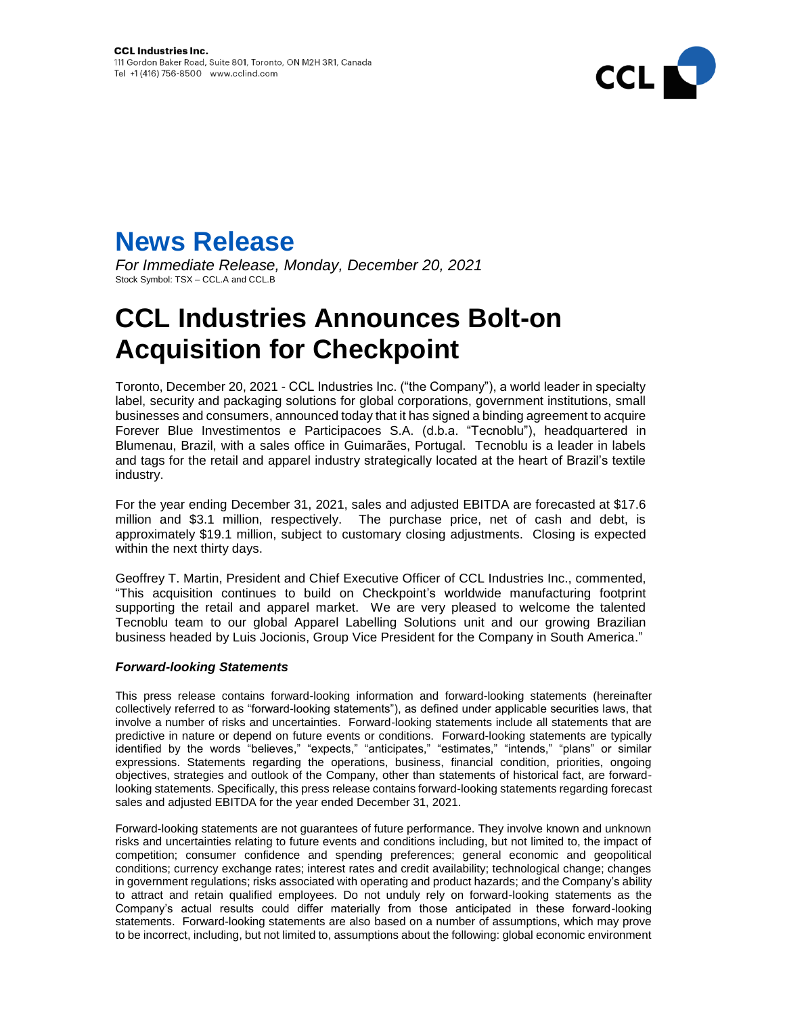



*For Immediate Release, Monday, December 20, 2021* Stock Symbol: TSX – CCL.A and CCL.B

## **CCL Industries Announces Bolt-on Acquisition for Checkpoint**

Toronto, December 20, 2021 - CCL Industries Inc. ("the Company"), a world leader in specialty label, security and packaging solutions for global corporations, government institutions, small businesses and consumers, announced today that it has signed a binding agreement to acquire Forever Blue Investimentos e Participacoes S.A. (d.b.a. "Tecnoblu"), headquartered in Blumenau, Brazil, with a sales office in Guimarães, Portugal. Tecnoblu is a leader in labels and tags for the retail and apparel industry strategically located at the heart of Brazil's textile industry.

For the year ending December 31, 2021, sales and adjusted EBITDA are forecasted at \$17.6 million and \$3.1 million, respectively. The purchase price, net of cash and debt, is approximately \$19.1 million, subject to customary closing adjustments. Closing is expected within the next thirty days.

Geoffrey T. Martin, President and Chief Executive Officer of CCL Industries Inc., commented, "This acquisition continues to build on Checkpoint's worldwide manufacturing footprint supporting the retail and apparel market. We are very pleased to welcome the talented Tecnoblu team to our global Apparel Labelling Solutions unit and our growing Brazilian business headed by Luis Jocionis, Group Vice President for the Company in South America."

## *Forward-looking Statements*

This press release contains forward-looking information and forward-looking statements (hereinafter collectively referred to as "forward-looking statements"), as defined under applicable securities laws, that involve a number of risks and uncertainties. Forward-looking statements include all statements that are predictive in nature or depend on future events or conditions. Forward-looking statements are typically identified by the words "believes," "expects," "anticipates," "estimates," "intends," "plans" or similar expressions. Statements regarding the operations, business, financial condition, priorities, ongoing objectives, strategies and outlook of the Company, other than statements of historical fact, are forwardlooking statements. Specifically, this press release contains forward-looking statements regarding forecast sales and adjusted EBITDA for the year ended December 31, 2021.

Forward-looking statements are not guarantees of future performance. They involve known and unknown risks and uncertainties relating to future events and conditions including, but not limited to, the impact of competition; consumer confidence and spending preferences; general economic and geopolitical conditions; currency exchange rates; interest rates and credit availability; technological change; changes in government regulations; risks associated with operating and product hazards; and the Company's ability to attract and retain qualified employees. Do not unduly rely on forward-looking statements as the Company's actual results could differ materially from those anticipated in these forward-looking statements. Forward-looking statements are also based on a number of assumptions, which may prove to be incorrect, including, but not limited to, assumptions about the following: global economic environment